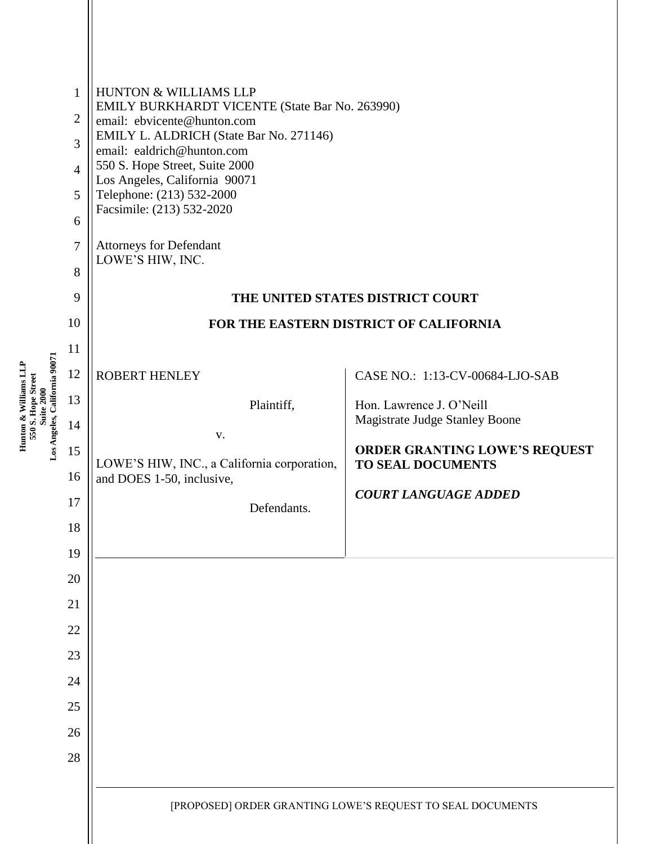| $\mathbf{1}$<br>$\overline{2}$<br>3<br>$\overline{4}$<br>5<br>6<br>7<br>8<br>9<br>10               | <b>HUNTON &amp; WILLIAMS LLP</b><br>EMILY BURKHARDT VICENTE (State Bar No. 263990)<br>email: ebvicente@hunton.com<br>EMILY L. ALDRICH (State Bar No. 271146)<br>email: ealdrich@hunton.com<br>550 S. Hope Street, Suite 2000<br>Los Angeles, California 90071<br>Telephone: (213) 532-2000<br>Facsimile: (213) 532-2020<br><b>Attorneys for Defendant</b><br>LOWE'S HIW, INC. | THE UNITED STATES DISTRICT COURT<br>FOR THE EASTERN DISTRICT OF CALIFORNIA                                                                                                                       |
|----------------------------------------------------------------------------------------------------|-------------------------------------------------------------------------------------------------------------------------------------------------------------------------------------------------------------------------------------------------------------------------------------------------------------------------------------------------------------------------------|--------------------------------------------------------------------------------------------------------------------------------------------------------------------------------------------------|
| 11<br>12<br>13<br>14<br>15<br>16<br>17<br>18<br>19<br>20<br>21<br>22<br>23<br>24<br>25<br>26<br>28 | ROBERT HENLEY<br>Plaintiff,<br>V.<br>LOWE'S HIW, INC., a California corporation,<br>and DOES 1-50, inclusive,<br>Defendants.                                                                                                                                                                                                                                                  | CASE NO.: 1:13-CV-00684-LJO-SAB<br>Hon. Lawrence J. O'Neill<br>Magistrate Judge Stanley Boone<br><b>ORDER GRANTING LOWE'S REQUEST</b><br><b>TO SEAL DOCUMENTS</b><br><b>COURT LANGUAGE ADDED</b> |
|                                                                                                    |                                                                                                                                                                                                                                                                                                                                                                               | [PROPOSED] ORDER GRANTING LOWE'S REQUEST TO SEAL DOCUMENTS                                                                                                                                       |
|                                                                                                    |                                                                                                                                                                                                                                                                                                                                                                               |                                                                                                                                                                                                  |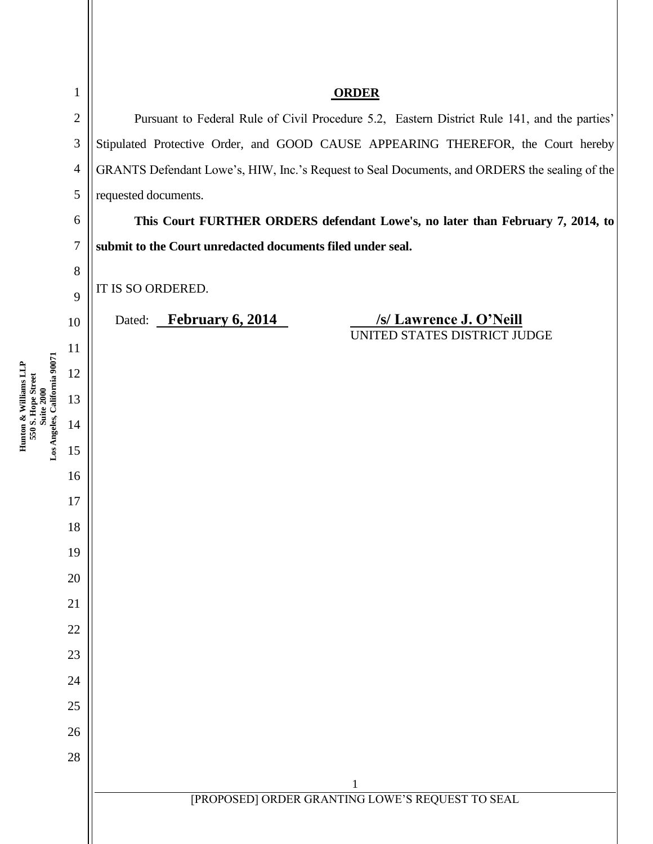| $\mathbf{1}$                                                                               |                  | <b>ORDER</b>                                                                                  |  |  |
|--------------------------------------------------------------------------------------------|------------------|-----------------------------------------------------------------------------------------------|--|--|
|                                                                                            | $\overline{2}$   | Pursuant to Federal Rule of Civil Procedure 5.2, Eastern District Rule 141, and the parties'  |  |  |
|                                                                                            | $\mathfrak{Z}$   | Stipulated Protective Order, and GOOD CAUSE APPEARING THEREFOR, the Court hereby              |  |  |
|                                                                                            | $\overline{4}$   | GRANTS Defendant Lowe's, HIW, Inc.'s Request to Seal Documents, and ORDERS the sealing of the |  |  |
|                                                                                            | 5                | requested documents.                                                                          |  |  |
|                                                                                            | 6                | This Court FURTHER ORDERS defendant Lowe's, no later than February 7, 2014, to                |  |  |
|                                                                                            | $\boldsymbol{7}$ | submit to the Court unredacted documents filed under seal.                                    |  |  |
|                                                                                            | 8                |                                                                                               |  |  |
|                                                                                            | 9                | IT IS SO ORDERED.                                                                             |  |  |
|                                                                                            | 10               | /s/ Lawrence J. O'Neill<br>Dated: February 6, 2014<br>UNITED STATES DISTRICT JUDGE            |  |  |
|                                                                                            | 11               |                                                                                               |  |  |
|                                                                                            | 12               |                                                                                               |  |  |
| Hunton & Williams LLP<br>550 S. Hope Street<br>Suite 2000<br>Los Angeles, California 90071 | 13               |                                                                                               |  |  |
|                                                                                            | 14               |                                                                                               |  |  |
|                                                                                            | 15               |                                                                                               |  |  |
|                                                                                            | 16               |                                                                                               |  |  |
|                                                                                            | 17               |                                                                                               |  |  |
|                                                                                            | 18               |                                                                                               |  |  |
|                                                                                            | 19               |                                                                                               |  |  |
|                                                                                            | 20               |                                                                                               |  |  |
|                                                                                            | 21               |                                                                                               |  |  |
|                                                                                            | 22               |                                                                                               |  |  |
|                                                                                            | 23               |                                                                                               |  |  |
|                                                                                            | 24               |                                                                                               |  |  |
|                                                                                            | 25               |                                                                                               |  |  |
|                                                                                            | 26               |                                                                                               |  |  |
|                                                                                            | $28\,$           |                                                                                               |  |  |
|                                                                                            |                  | 1<br>[PROPOSED] ORDER GRANTING LOWE'S REQUEST TO SEAL                                         |  |  |
|                                                                                            |                  |                                                                                               |  |  |